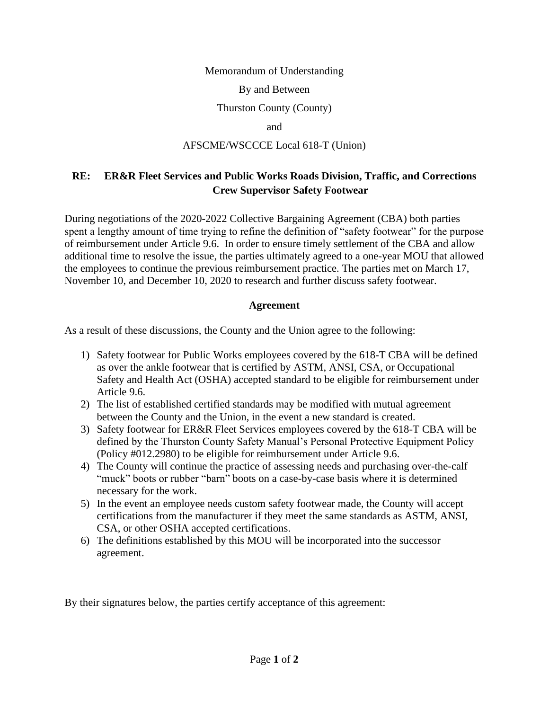#### Memorandum of Understanding

#### By and Between

### Thurston County (County)

and

#### AFSCME/WSCCCE Local 618-T (Union)

# **RE: ER&R Fleet Services and Public Works Roads Division, Traffic, and Corrections Crew Supervisor Safety Footwear**

During negotiations of the 2020-2022 Collective Bargaining Agreement (CBA) both parties spent a lengthy amount of time trying to refine the definition of "safety footwear" for the purpose of reimbursement under Article 9.6. In order to ensure timely settlement of the CBA and allow additional time to resolve the issue, the parties ultimately agreed to a one-year MOU that allowed the employees to continue the previous reimbursement practice. The parties met on March 17, November 10, and December 10, 2020 to research and further discuss safety footwear.

## **Agreement**

As a result of these discussions, the County and the Union agree to the following:

- 1) Safety footwear for Public Works employees covered by the 618-T CBA will be defined as over the ankle footwear that is certified by ASTM, ANSI, CSA, or Occupational Safety and Health Act (OSHA) accepted standard to be eligible for reimbursement under Article 9.6.
- 2) The list of established certified standards may be modified with mutual agreement between the County and the Union, in the event a new standard is created.
- 3) Safety footwear for ER&R Fleet Services employees covered by the 618-T CBA will be defined by the Thurston County Safety Manual's Personal Protective Equipment Policy (Policy #012.2980) to be eligible for reimbursement under Article 9.6.
- 4) The County will continue the practice of assessing needs and purchasing over-the-calf "muck" boots or rubber "barn" boots on a case-by-case basis where it is determined necessary for the work.
- 5) In the event an employee needs custom safety footwear made, the County will accept certifications from the manufacturer if they meet the same standards as ASTM, ANSI, CSA, or other OSHA accepted certifications.
- 6) The definitions established by this MOU will be incorporated into the successor agreement.

By their signatures below, the parties certify acceptance of this agreement: